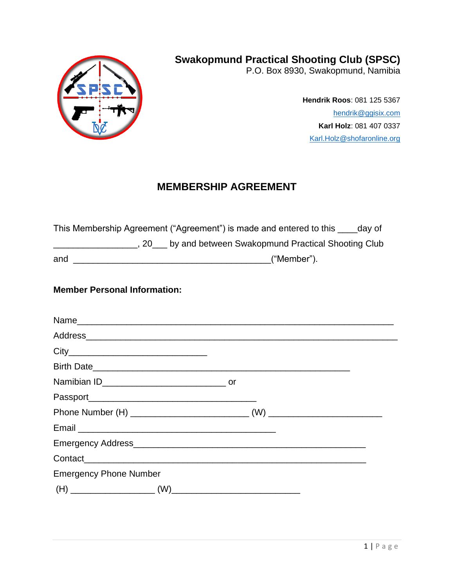

**Swakopmund Practical Shooting Club (SPSC)**

P.O. Box 8930, Swakopmund, Namibia

**Hendrik Roos**: 081 125 5367 [hendrik@ggisix.com](mailto:hendrik@ggisix.com) **Karl Holz**: 081 407 0337 [Karl.Holz@shofaronline.org](mailto:Karl.Holz@shofaronline.org)

# **MEMBERSHIP AGREEMENT**

This Membership Agreement ("Agreement") is made and entered to this \_\_\_\_day of \_\_\_\_\_\_\_\_\_\_\_\_\_\_\_\_\_, 20\_\_\_ by and between Swakopmund Practical Shooting Club and \_\_\_\_\_\_\_\_\_\_\_\_\_\_\_\_\_\_\_\_\_\_\_\_\_\_\_\_\_\_\_\_\_\_\_\_\_\_\_\_("Member").

### **Member Personal Information:**

| <b>Emergency Phone Number</b> |  |  |
|-------------------------------|--|--|
|                               |  |  |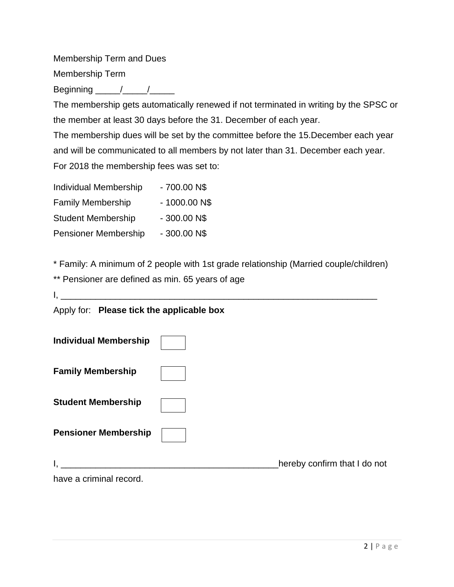Membership Term and Dues Membership Term

Beginning  $/$   $/$ 

The membership gets automatically renewed if not terminated in writing by the SPSC or the member at least 30 days before the 31. December of each year.

The membership dues will be set by the committee before the 15.December each year and will be communicated to all members by not later than 31. December each year. For 2018 the membership fees was set to:

| <b>Individual Membership</b> | - 700.00 N\$   |
|------------------------------|----------------|
| <b>Family Membership</b>     | $-1000.00$ N\$ |
| <b>Student Membership</b>    | $-300.00N$$    |
| <b>Pensioner Membership</b>  | $-300.00N$$    |

\* Family: A minimum of 2 people with 1st grade relationship (Married couple/children)

|  | ** Pensioner are defined as min. 65 years of age |  |  |
|--|--------------------------------------------------|--|--|
|  |                                                  |  |  |

Apply for: **Please tick the applicable box** 

| <b>Individual Membership</b> |                              |
|------------------------------|------------------------------|
| <b>Family Membership</b>     |                              |
| <b>Student Membership</b>    |                              |
| <b>Pensioner Membership</b>  |                              |
|                              | hereby confirm that I do not |
| have a criminal record.      |                              |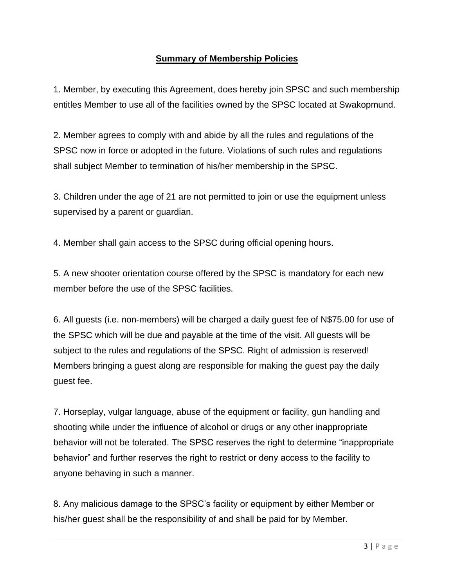## **Summary of Membership Policies**

1. Member, by executing this Agreement, does hereby join SPSC and such membership entitles Member to use all of the facilities owned by the SPSC located at Swakopmund.

2. Member agrees to comply with and abide by all the rules and regulations of the SPSC now in force or adopted in the future. Violations of such rules and regulations shall subject Member to termination of his/her membership in the SPSC.

3. Children under the age of 21 are not permitted to join or use the equipment unless supervised by a parent or guardian.

4. Member shall gain access to the SPSC during official opening hours.

5. A new shooter orientation course offered by the SPSC is mandatory for each new member before the use of the SPSC facilities.

6. All guests (i.e. non‐members) will be charged a daily guest fee of N\$75.00 for use of the SPSC which will be due and payable at the time of the visit. All guests will be subject to the rules and regulations of the SPSC. Right of admission is reserved! Members bringing a guest along are responsible for making the guest pay the daily guest fee.

7. Horseplay, vulgar language, abuse of the equipment or facility, gun handling and shooting while under the influence of alcohol or drugs or any other inappropriate behavior will not be tolerated. The SPSC reserves the right to determine "inappropriate behavior" and further reserves the right to restrict or deny access to the facility to anyone behaving in such a manner.

8. Any malicious damage to the SPSC's facility or equipment by either Member or his/her guest shall be the responsibility of and shall be paid for by Member.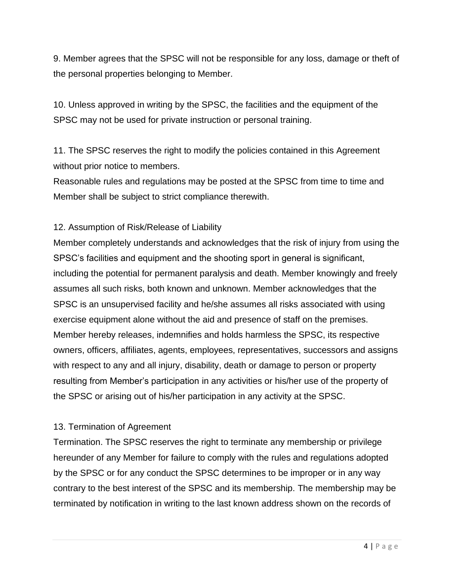9. Member agrees that the SPSC will not be responsible for any loss, damage or theft of the personal properties belonging to Member.

10. Unless approved in writing by the SPSC, the facilities and the equipment of the SPSC may not be used for private instruction or personal training.

11. The SPSC reserves the right to modify the policies contained in this Agreement without prior notice to members.

Reasonable rules and regulations may be posted at the SPSC from time to time and Member shall be subject to strict compliance therewith.

## 12. Assumption of Risk/Release of Liability

Member completely understands and acknowledges that the risk of injury from using the SPSC's facilities and equipment and the shooting sport in general is significant, including the potential for permanent paralysis and death. Member knowingly and freely assumes all such risks, both known and unknown. Member acknowledges that the SPSC is an unsupervised facility and he/she assumes all risks associated with using exercise equipment alone without the aid and presence of staff on the premises. Member hereby releases, indemnifies and holds harmless the SPSC, its respective owners, officers, affiliates, agents, employees, representatives, successors and assigns with respect to any and all injury, disability, death or damage to person or property resulting from Member's participation in any activities or his/her use of the property of the SPSC or arising out of his/her participation in any activity at the SPSC.

### 13. Termination of Agreement

Termination. The SPSC reserves the right to terminate any membership or privilege hereunder of any Member for failure to comply with the rules and regulations adopted by the SPSC or for any conduct the SPSC determines to be improper or in any way contrary to the best interest of the SPSC and its membership. The membership may be terminated by notification in writing to the last known address shown on the records of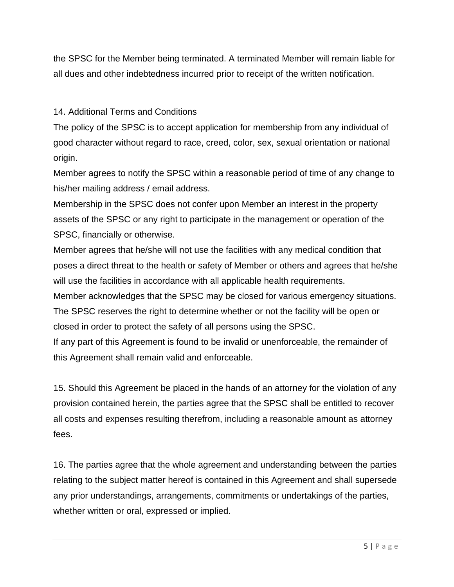the SPSC for the Member being terminated. A terminated Member will remain liable for all dues and other indebtedness incurred prior to receipt of the written notification.

14. Additional Terms and Conditions

The policy of the SPSC is to accept application for membership from any individual of good character without regard to race, creed, color, sex, sexual orientation or national origin.

Member agrees to notify the SPSC within a reasonable period of time of any change to his/her mailing address / email address.

Membership in the SPSC does not confer upon Member an interest in the property assets of the SPSC or any right to participate in the management or operation of the SPSC, financially or otherwise.

Member agrees that he/she will not use the facilities with any medical condition that poses a direct threat to the health or safety of Member or others and agrees that he/she will use the facilities in accordance with all applicable health requirements.

Member acknowledges that the SPSC may be closed for various emergency situations.

The SPSC reserves the right to determine whether or not the facility will be open or closed in order to protect the safety of all persons using the SPSC.

If any part of this Agreement is found to be invalid or unenforceable, the remainder of this Agreement shall remain valid and enforceable.

15. Should this Agreement be placed in the hands of an attorney for the violation of any provision contained herein, the parties agree that the SPSC shall be entitled to recover all costs and expenses resulting therefrom, including a reasonable amount as attorney fees.

16. The parties agree that the whole agreement and understanding between the parties relating to the subject matter hereof is contained in this Agreement and shall supersede any prior understandings, arrangements, commitments or undertakings of the parties, whether written or oral, expressed or implied.